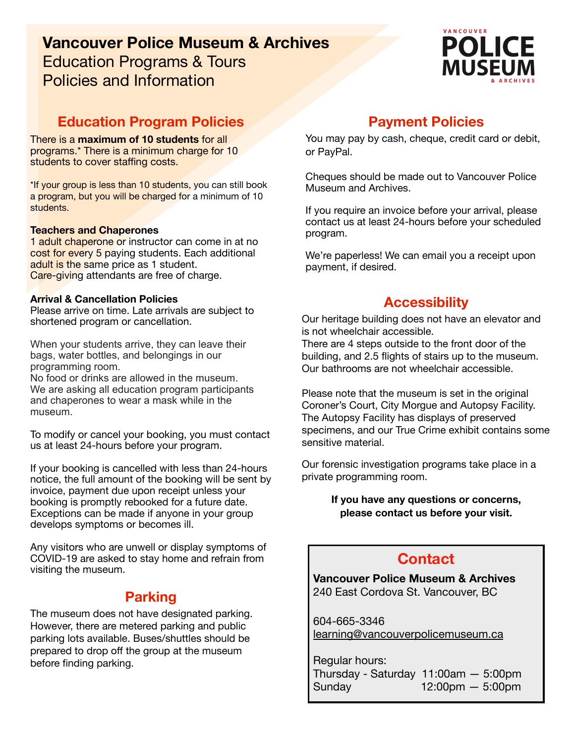# **Vancouver Police Museum & Archives**  Education Programs & Tours Policies and Information



## **Education Program Policies**

There is a **maximum of 10 students** for all programs.\* There is a minimum charge for 10 students to cover staffing costs.

\*If your group is less than 10 students, you can still book a program, but you will be charged for a minimum of 10 students.

### **Teachers and Chaperones**

1 adult chaperone or instructor can come in at no cost for every 5 paying students. Each additional adult is the same price as 1 student. Care-giving attendants are free of charge.

### **Arrival & Cancellation Policies**

Please arrive on time. Late arrivals are subject to shortened program or cancellation.

When your students arrive, they can leave their bags, water bottles, and belongings in our programming room.

No food or drinks are allowed in the museum. We are asking all education program participants and chaperones to wear a mask while in the museum.

To modify or cancel your booking, you must contact us at least 24-hours before your program.

If your booking is cancelled with less than 24-hours notice, the full amount of the booking will be sent by invoice, payment due upon receipt unless your booking is promptly rebooked for a future date. Exceptions can be made if anyone in your group develops symptoms or becomes ill.

Any visitors who are unwell or display symptoms of COVID-19 are asked to stay home and refrain from visiting the museum.

## **Parking**

The museum does not have designated parking. However, there are metered parking and public parking lots available. Buses/shuttles should be prepared to drop off the group at the museum before finding parking.

## **Payment Policies**

You may pay by cash, cheque, credit card or debit, or PayPal.

Cheques should be made out to Vancouver Police Museum and Archives.

If you require an invoice before your arrival, please contact us at least 24-hours before your scheduled program.

We're paperless! We can email you a receipt upon payment, if desired.

## **Accessibility**

Our heritage building does not have an elevator and is not wheelchair accessible.

There are 4 steps outside to the front door of the building, and 2.5 flights of stairs up to the museum. Our bathrooms are not wheelchair accessible.

Please note that the museum is set in the original Coroner's Court, City Morgue and Autopsy Facility. The Autopsy Facility has displays of preserved specimens, and our True Crime exhibit contains some sensitive material.

Our forensic investigation programs take place in a private programming room.

> **If you have any questions or concerns, please contact us before your visit.**

# **Contact**

**Vancouver Police Museum & Archives**  240 East Cordova St. Vancouver, BC

604-665-3346 [learning@vancouverpolicemuseum.ca](mailto:learning@vancouverpolicemuseum.ca)

Regular hours: Thursday - Saturday 11:00am — 5:00pm  $Sunday$   $12:00pm - 5:00pm$